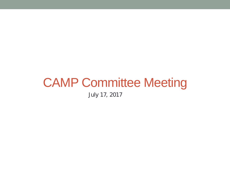# CAMP Committee Meeting

July 17, 2017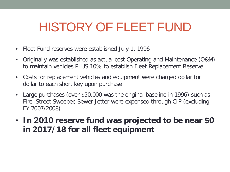### HISTORY OF FLEET FUND

- Fleet Fund reserves were established July 1, 1996
- Originally was established as actual cost Operating and Maintenance (O&M) to maintain vehicles PLUS 10% to establish Fleet Replacement Reserve
- Costs for replacement vehicles and equipment were charged dollar for dollar to each short key upon purchase
- Large purchases (over \$50,000 was the original baseline in 1996) such as Fire, Street Sweeper, Sewer Jetter were expensed through CIP (excluding FY 2007/2008)
- **In 2010 reserve fund was projected to be near \$0 in 2017/18 for all fleet equipment**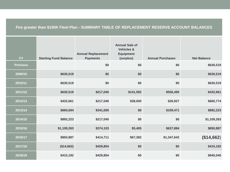#### **Fire greater than \$100K Fleet Plan - SUMMARY TABLE OF REPLACEMENT RESERVE ACCOUNT BALANCES**

| <b>FY</b>       | <b>Starting Fund Balance</b> | <b>Annual Replacement</b><br><b>Payments</b> | <b>Annual Sale of</b><br><b>Vehicles &amp;</b><br><b>Equipment</b><br>(surplus) | <b>Annual Purchases</b> | <b>Net Balance</b> |
|-----------------|------------------------------|----------------------------------------------|---------------------------------------------------------------------------------|-------------------------|--------------------|
| <b>Previous</b> |                              | \$0                                          | \$0                                                                             | \$0                     | \$630,519          |
| 2009/10         | \$630,519                    | \$0                                          | \$0                                                                             | \$0                     | \$630,519          |
| 2010/11         | \$630,519                    | \$0                                          | \$0                                                                             | \$0                     | \$630,519          |
| 2011/12         | \$630,519                    | \$217,040                                    | \$141,592                                                                       | \$556,490               | \$432,661          |
| 2012/13         | \$432,661                    | \$217,040                                    | \$38,000                                                                        | \$26,927                | \$660,774          |
| 2013/14         | \$660,694                    | \$341,000                                    | \$0                                                                             | \$109,471               | \$892,223          |
| 2014/15         | \$892,223                    | \$217,040                                    | \$0                                                                             | \$0                     | \$1,109,263        |
| 2015/16         | \$1,109,263                  | \$374,103                                    | \$5,405                                                                         | \$637,884               | \$850,887          |
| 2016/17         | \$850,887                    | \$414,711                                    | \$67,382                                                                        | \$1,347,642             | (\$14,662)         |
| 2017/18         | (\$14,662)                   | \$429,854                                    | \$0                                                                             | \$0                     | \$415,192          |
| 2018/19         | \$415,192                    | \$429,854                                    | \$0                                                                             | \$0                     | \$845,045          |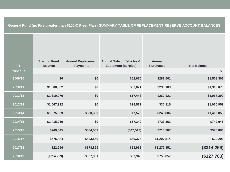#### **General Fund (no Fire greater than \$100K) Fleet Plan - SUMMARY TABLE OF REPLACEMENT RESERVE ACCOUNT BALANCES**

| FY              | <b>Starting Fund</b><br><b>Balance</b> | <b>Annual Replacement</b><br><b>Payments</b> | <b>Annual Sale of Vehicles &amp;</b><br><b>Equipment (surplus)</b> | <b>Annual</b><br><b>Purchases</b> | <b>Net Balance</b> |
|-----------------|----------------------------------------|----------------------------------------------|--------------------------------------------------------------------|-----------------------------------|--------------------|
| <b>Previous</b> |                                        |                                              |                                                                    |                                   | \$0                |
| 2009/10         | \$0                                    | \$0                                          | \$62,676                                                           | \$281,561                         | \$1,508,302        |
| 2010/11         | \$1,508,302                            | \$0                                          | \$37,871                                                           | \$236,103                         | \$1,310,070        |
| 2011/12         | \$1,310,070                            | \$0                                          | \$17,443                                                           | \$260,121                         | \$1,067,392        |
| 2012/13         | \$1,067,392                            | \$0                                          | \$34,572                                                           | \$35,815                          | \$1,075,959        |
| 2013/14         | \$1,075,959                            | \$580,330                                    | \$7,576                                                            | \$248,806                         | \$1,415,059        |
| 2014/15         | \$1,415,059                            | \$0                                          | \$57,349                                                           | \$723,363                         | \$749,045          |
| 2015/16         | \$749,045                              | \$584,559                                    | (\$47,513)                                                         | \$710,207                         | \$575,884          |
| 2016/17         | \$575,884                              | \$593,550                                    | \$60,376                                                           | \$1,207,514                       | \$22,296           |
| 2017/18         | \$22,296                               | \$878,829                                    | \$63,968                                                           | \$1,279,351                       | (\$314,259)        |
| 2018/19         | (\$314,259)                            | \$907,391                                    | \$37,943                                                           | \$758,857                         | (\$127,783)        |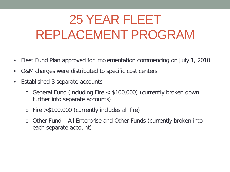## 25 YEAR FLEET REPLACEMENT PROGRAM

- Fleet Fund Plan approved for implementation commencing on July 1, 2010
- O&M charges were distributed to specific cost centers
- Established 3 separate accounts
	- o General Fund (including Fire < \$100,000) (currently broken down further into separate accounts)
	- o Fire >\$100,000 (currently includes all fire)
	- o Other Fund All Enterprise and Other Funds (currently broken into each separate account)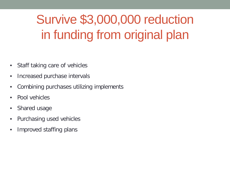## Survive \$3,000,000 reduction in funding from original plan

- Staff taking care of vehicles
- Increased purchase intervals
- Combining purchases utilizing implements
- Pool vehicles
- Shared usage
- Purchasing used vehicles
- Improved staffing plans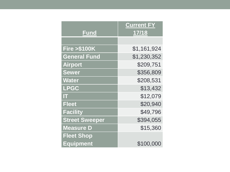|                        | <b>Current FY</b> |
|------------------------|-------------------|
| <b>Fund</b>            | 17/18             |
|                        |                   |
| <b>Fire &gt;\$100K</b> | \$1,161,924       |
| <b>General Fund</b>    | \$1,230,352       |
| <b>Airport</b>         | \$209,751         |
| <b>Sewer</b>           | \$356,809         |
| <b>Water</b>           | \$208,531         |
| <b>LPGC</b>            | \$13,432          |
| m                      | \$12,079          |
| <b>Fleet</b>           | \$20,940          |
| <b>Facility</b>        | \$49,796          |
| <b>Street Sweeper</b>  | \$394,055         |
| <b>Measure D</b>       | \$15,360          |
| <b>Fleet Shop</b>      |                   |
| <b>Equipment</b>       | \$100,000         |